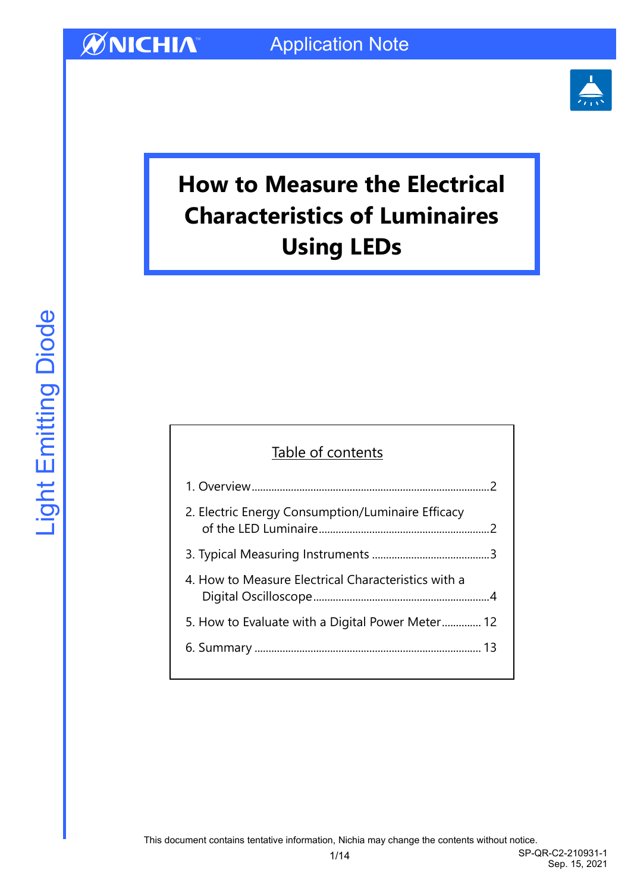

# **How to Measure the Electrical Characteristics of Luminaires Using LEDs**

### Table of contents

| 2. Electric Energy Consumption/Luminaire Efficacy   |  |
|-----------------------------------------------------|--|
|                                                     |  |
| 4. How to Measure Electrical Characteristics with a |  |
| 5. How to Evaluate with a Digital Power Meter 12    |  |
|                                                     |  |
|                                                     |  |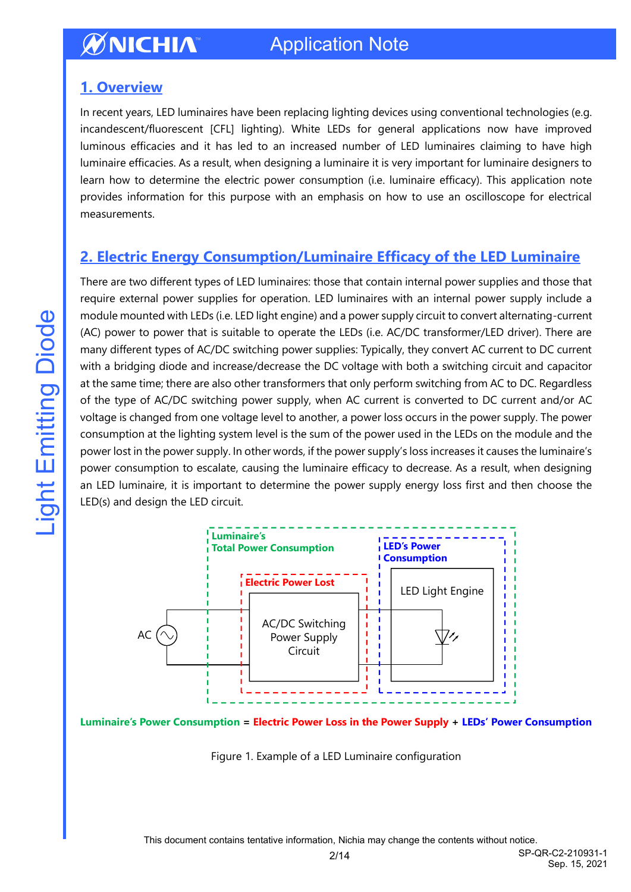### <span id="page-1-0"></span>**1. Overview**

In recent years, LED luminaires have been replacing lighting devices using conventional technologies (e.g. incandescent/fluorescent [CFL] lighting). White LEDs for general applications now have improved luminous efficacies and it has led to an increased number of LED luminaires claiming to have high luminaire efficacies. As a result, when designing a luminaire it is very important for luminaire designers to learn how to determine the electric power consumption (i.e. luminaire efficacy). This application note provides information for this purpose with an emphasis on how to use an oscilloscope for electrical measurements.

## <span id="page-1-1"></span>**2. Electric Energy Consumption/Luminaire Efficacy of the LED Luminaire**

There are two different types of LED luminaires: those that contain internal power supplies and those that require external power supplies for operation. LED luminaires with an internal power supply include a module mounted with LEDs (i.e. LED light engine) and a power supply circuit to convert alternating-current (AC) power to power that is suitable to operate the LEDs (i.e. AC/DC transformer/LED driver). There are many different types of AC/DC switching power supplies: Typically, they convert AC current to DC current with a bridging diode and increase/decrease the DC voltage with both a switching circuit and capacitor at the same time; there are also other transformers that only perform switching from AC to DC. Regardless of the type of AC/DC switching power supply, when AC current is converted to DC current and/or AC voltage is changed from one voltage level to another, a power loss occurs in the power supply. The power consumption at the lighting system level is the sum of the power used in the LEDs on the module and the power lost in the power supply. In other words, if the power supply's loss increases it causes the luminaire's power consumption to escalate, causing the luminaire efficacy to decrease. As a result, when designing an LED luminaire, it is important to determine the power supply energy loss first and then choose the LED(s) and design the LED circuit.



**Luminaire's Power Consumption = Electric Power Loss in the Power Supply + LEDs' Power Consumption**

Figure 1. Example of a LED Luminaire configuration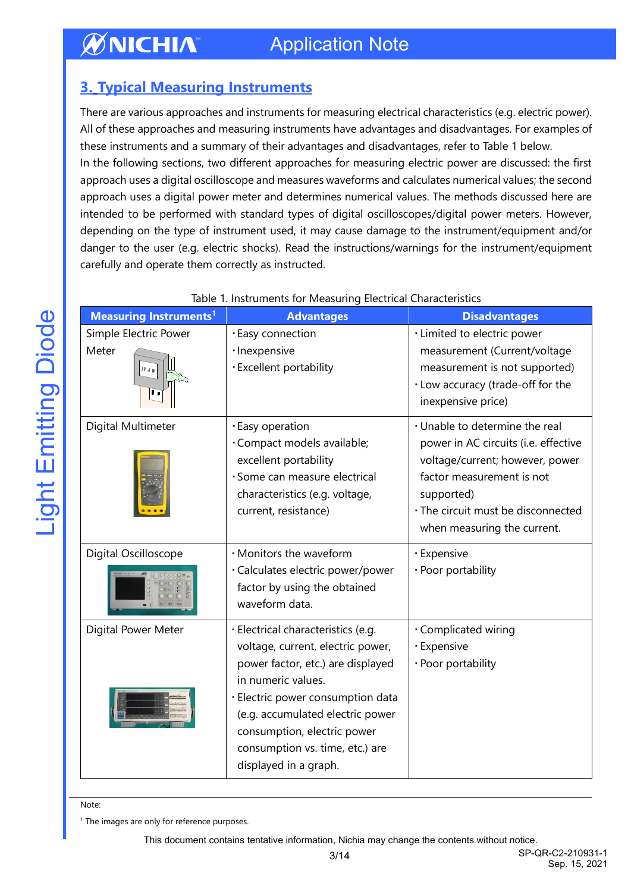## <span id="page-2-0"></span>**3. Typical Measuring Instruments**

There are various approaches and instruments for measuring electrical characteristics (e.g. electric power). All of these approaches and measuring instruments have advantages and disadvantages. For examples of these instruments and a summary of their advantages and disadvantages, refer to Table 1 below. In the following sections, two different approaches for measuring electric power are discussed: the first approach uses a digital oscilloscope and measures waveforms and calculates numerical values; the second approach uses a digital power meter and determines numerical values. The methods discussed here are intended to be performed with standard types of digital oscilloscopes/digital power meters. However, depending on the type of instrument used, it may cause damage to the instrument/equipment and/or danger to the user (e.g. electric shocks). Read the instructions/warnings for the instrument/equipment carefully and operate them correctly as instructed.

| <b>Measuring Instruments1</b> | <b>Advantages</b>                                                                                                                                                                                                                                                | <b>Disadvantages</b>                                                                                                                                                                                                      |
|-------------------------------|------------------------------------------------------------------------------------------------------------------------------------------------------------------------------------------------------------------------------------------------------------------|---------------------------------------------------------------------------------------------------------------------------------------------------------------------------------------------------------------------------|
| Simple Electric Power         | · Easy connection                                                                                                                                                                                                                                                | · Limited to electric power                                                                                                                                                                                               |
| Meter<br>10.0 W               | · Inexpensive<br>· Excellent portability                                                                                                                                                                                                                         | measurement (Current/voltage<br>measurement is not supported)<br>· Low accuracy (trade-off for the<br>inexpensive price)                                                                                                  |
| Digital Multimeter            | · Easy operation<br>·Compact models available;<br>excellent portability<br>· Some can measure electrical<br>characteristics (e.g. voltage,<br>current, resistance)                                                                                               | · Unable to determine the real<br>power in AC circuits (i.e. effective<br>voltage/current; however, power<br>factor measurement is not<br>supported)<br>· The circuit must be disconnected<br>when measuring the current. |
| Digital Oscilloscope          | · Monitors the waveform                                                                                                                                                                                                                                          | · Expensive                                                                                                                                                                                                               |
|                               | · Calculates electric power/power<br>factor by using the obtained<br>waveform data.                                                                                                                                                                              | · Poor portability                                                                                                                                                                                                        |
| Digital Power Meter           | · Electrical characteristics (e.g.                                                                                                                                                                                                                               | · Complicated wiring                                                                                                                                                                                                      |
|                               | voltage, current, electric power,<br>power factor, etc.) are displayed<br>in numeric values.<br>· Electric power consumption data<br>(e.g. accumulated electric power<br>consumption, electric power<br>consumption vs. time, etc.) are<br>displayed in a graph. | · Expensive<br>· Poor portability                                                                                                                                                                                         |

#### Table 1. Instruments for Measuring Electrical Characteristics

Note:

<sup>1</sup> The images are only for reference purposes.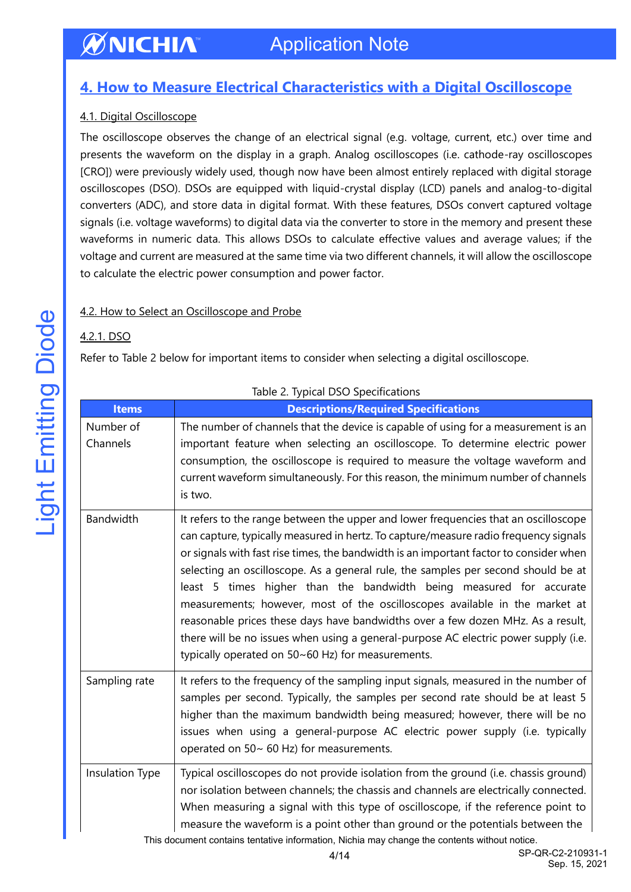### <span id="page-3-0"></span>**4. How to Measure Electrical Characteristics with a Digital Oscilloscope**

### 4.1. Digital Oscilloscope

The oscilloscope observes the change of an electrical signal (e.g. voltage, current, etc.) over time and presents the waveform on the display in a graph. Analog oscilloscopes (i.e. cathode-ray oscilloscopes [CRO]) were previously widely used, though now have been almost entirely replaced with digital storage oscilloscopes (DSO). DSOs are equipped with liquid-crystal display (LCD) panels and analog-to-digital converters (ADC), and store data in digital format. With these features, DSOs convert captured voltage signals (i.e. voltage waveforms) to digital data via the converter to store in the memory and present these waveforms in numeric data. This allows DSOs to calculate effective values and average values; if the voltage and current are measured at the same time via two different channels, it will allow the oscilloscope to calculate the electric power consumption and power factor.

### 4.2. How to Select an Oscilloscope and Probe

### 4.2.1. DSO

Refer to Table 2 below for important items to consider when selecting a digital oscilloscope.

| <b>Items</b>          | <b>Descriptions/Required Specifications</b>                                                                                                                                                                                                                                                                                                                                                                                                                                                                                                                                                                                                                                                                                                     |
|-----------------------|-------------------------------------------------------------------------------------------------------------------------------------------------------------------------------------------------------------------------------------------------------------------------------------------------------------------------------------------------------------------------------------------------------------------------------------------------------------------------------------------------------------------------------------------------------------------------------------------------------------------------------------------------------------------------------------------------------------------------------------------------|
| Number of<br>Channels | The number of channels that the device is capable of using for a measurement is an<br>important feature when selecting an oscilloscope. To determine electric power<br>consumption, the oscilloscope is required to measure the voltage waveform and<br>current waveform simultaneously. For this reason, the minimum number of channels<br>is two.                                                                                                                                                                                                                                                                                                                                                                                             |
| Bandwidth             | It refers to the range between the upper and lower frequencies that an oscilloscope<br>can capture, typically measured in hertz. To capture/measure radio frequency signals<br>or signals with fast rise times, the bandwidth is an important factor to consider when<br>selecting an oscilloscope. As a general rule, the samples per second should be at<br>least 5 times higher than the bandwidth being measured for accurate<br>measurements; however, most of the oscilloscopes available in the market at<br>reasonable prices these days have bandwidths over a few dozen MHz. As a result,<br>there will be no issues when using a general-purpose AC electric power supply (i.e.<br>typically operated on 50~60 Hz) for measurements. |
| Sampling rate         | It refers to the frequency of the sampling input signals, measured in the number of<br>samples per second. Typically, the samples per second rate should be at least 5<br>higher than the maximum bandwidth being measured; however, there will be no<br>issues when using a general-purpose AC electric power supply (i.e. typically<br>operated on 50~ 60 Hz) for measurements.                                                                                                                                                                                                                                                                                                                                                               |
| Insulation Type       | Typical oscilloscopes do not provide isolation from the ground (i.e. chassis ground)<br>nor isolation between channels; the chassis and channels are electrically connected.<br>When measuring a signal with this type of oscilloscope, if the reference point to<br>measure the waveform is a point other than ground or the potentials between the<br>This document contains tentative information, Nichia may change the contents without notice.                                                                                                                                                                                                                                                                                            |

Table 2. Typical DSO Specifications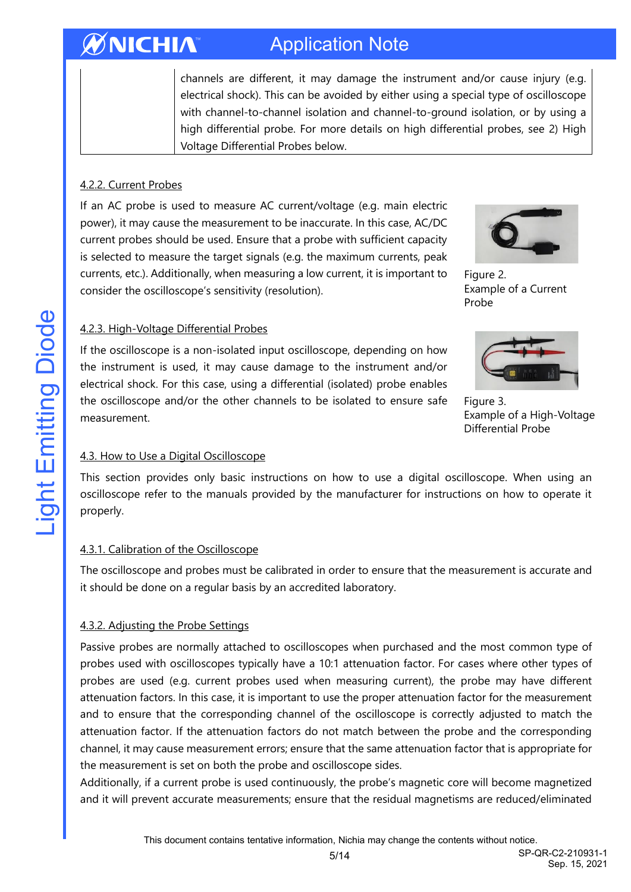channels are different, it may damage the instrument and/or cause injury (e.g. electrical shock). This can be avoided by either using a special type of oscilloscope with channel-to-channel isolation and channel-to-ground isolation, or by using a high differential probe. For more details on high differential probes, see 2) High Voltage Differential Probes below.

### 4.2.2. Current Probes

If an AC probe is used to measure AC current/voltage (e.g. main electric power), it may cause the measurement to be inaccurate. In this case, AC/DC current probes should be used. Ensure that a probe with sufficient capacity is selected to measure the target signals (e.g. the maximum currents, peak currents, etc.). Additionally, when measuring a low current, it is important to consider the oscilloscope's sensitivity (resolution).



Figure 2. Example of a Current Probe

### 4.2.3. High-Voltage Differential Probes

If the oscilloscope is a non-isolated input oscilloscope, depending on how the instrument is used, it may cause damage to the instrument and/or electrical shock. For this case, using a differential (isolated) probe enables the oscilloscope and/or the other channels to be isolated to ensure safe measurement.



Figure 3. Example of a High-Voltage Differential Probe

### 4.3. How to Use a Digital Oscilloscope

This section provides only basic instructions on how to use a digital oscilloscope. When using an oscilloscope refer to the manuals provided by the manufacturer for instructions on how to operate it properly.

#### 4.3.1. Calibration of the Oscilloscope

The oscilloscope and probes must be calibrated in order to ensure that the measurement is accurate and it should be done on a regular basis by an accredited laboratory.

### 4.3.2. Adjusting the Probe Settings

Passive probes are normally attached to oscilloscopes when purchased and the most common type of probes used with oscilloscopes typically have a 10:1 attenuation factor. For cases where other types of probes are used (e.g. current probes used when measuring current), the probe may have different attenuation factors. In this case, it is important to use the proper attenuation factor for the measurement and to ensure that the corresponding channel of the oscilloscope is correctly adjusted to match the attenuation factor. If the attenuation factors do not match between the probe and the corresponding channel, it may cause measurement errors; ensure that the same attenuation factor that is appropriate for the measurement is set on both the probe and oscilloscope sides.

Additionally, if a current probe is used continuously, the probe's magnetic core will become magnetized and it will prevent accurate measurements; ensure that the residual magnetisms are reduced/eliminated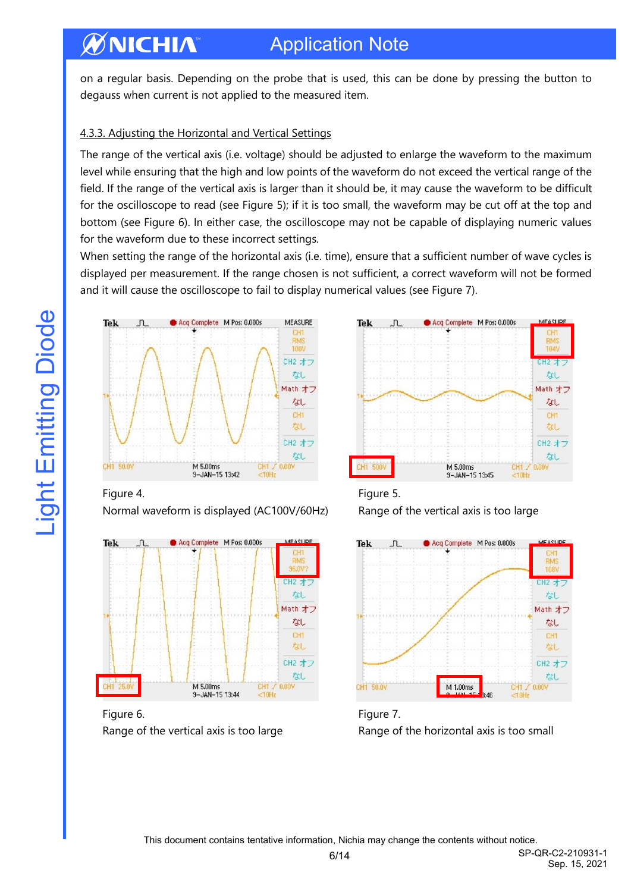## Application Note

on a regular basis. Depending on the probe that is used, this can be done by pressing the button to degauss when current is not applied to the measured item.

### 4.3.3. Adjusting the Horizontal and Vertical Settings

The range of the vertical axis (i.e. voltage) should be adjusted to enlarge the waveform to the maximum level while ensuring that the high and low points of the waveform do not exceed the vertical range of the field. If the range of the vertical axis is larger than it should be, it may cause the waveform to be difficult for the oscilloscope to read (see Figure 5); if it is too small, the waveform may be cut off at the top and bottom (see Figure 6). In either case, the oscilloscope may not be capable of displaying numeric values for the waveform due to these incorrect settings.

When setting the range of the horizontal axis (i.e. time), ensure that a sufficient number of wave cycles is displayed per measurement. If the range chosen is not sufficient, a correct waveform will not be formed and it will cause the oscilloscope to fail to display numerical values (see Figure 7).



### Figure 4. Figure 5.

Normal waveform is displayed (AC100V/60Hz) Range of the vertical axis is too large



Figure 6. The set of the set of the set of the set of the set of the set of the set of the set of the set of the set of the set of the set of the set of the set of the set of the set of the set of the set of the set of the





Range of the vertical axis is too large **Range of the horizontal axis is too small**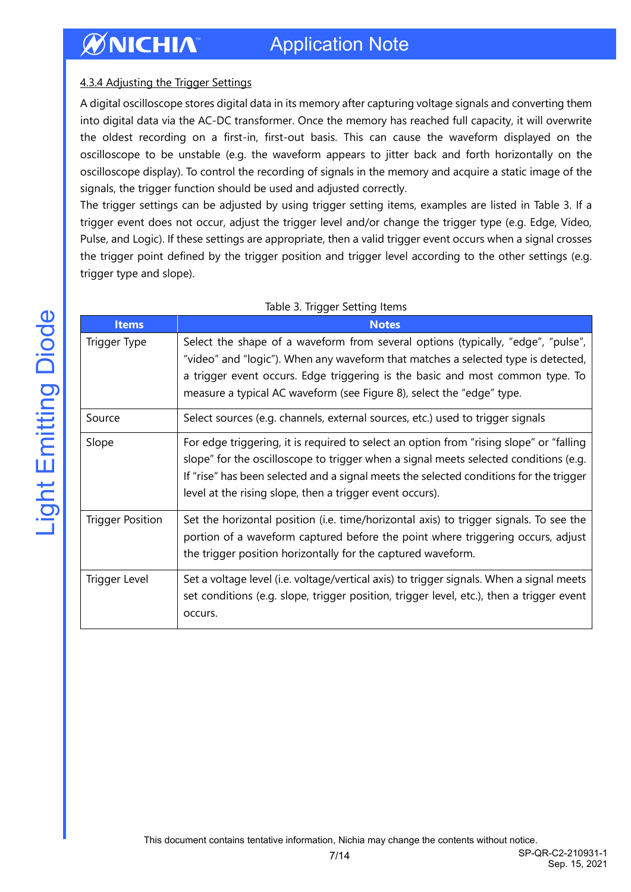# Application Note

### 4.3.4 Adjusting the Trigger Settings

A digital oscilloscope stores digital data in its memory after capturing voltage signals and converting them into digital data via the AC-DC transformer. Once the memory has reached full capacity, it will overwrite the oldest recording on a first-in, first-out basis. This can cause the waveform displayed on the oscilloscope to be unstable (e.g. the waveform appears to jitter back and forth horizontally on the oscilloscope display). To control the recording of signals in the memory and acquire a static image of the signals, the trigger function should be used and adjusted correctly.

The trigger settings can be adjusted by using trigger setting items, examples are listed in Table 3. If a trigger event does not occur, adjust the trigger level and/or change the trigger type (e.g. Edge, Video, Pulse, and Logic). If these settings are appropriate, then a valid trigger event occurs when a signal crosses the trigger point defined by the trigger position and trigger level according to the other settings (e.g. trigger type and slope).

| <b>Items</b>            | <b>Notes</b>                                                                                                                                                                                                                                                                                                                          |
|-------------------------|---------------------------------------------------------------------------------------------------------------------------------------------------------------------------------------------------------------------------------------------------------------------------------------------------------------------------------------|
| Trigger Type            | Select the shape of a waveform from several options (typically, "edge", "pulse",<br>"video" and "logic"). When any waveform that matches a selected type is detected,<br>a trigger event occurs. Edge triggering is the basic and most common type. To<br>measure a typical AC waveform (see Figure 8), select the "edge" type.       |
| Source                  | Select sources (e.g. channels, external sources, etc.) used to trigger signals                                                                                                                                                                                                                                                        |
| Slope                   | For edge triggering, it is required to select an option from "rising slope" or "falling<br>slope" for the oscilloscope to trigger when a signal meets selected conditions (e.g.<br>If "rise" has been selected and a signal meets the selected conditions for the trigger<br>level at the rising slope, then a trigger event occurs). |
| <b>Trigger Position</b> | Set the horizontal position (i.e. time/horizontal axis) to trigger signals. To see the<br>portion of a waveform captured before the point where triggering occurs, adjust<br>the trigger position horizontally for the captured waveform.                                                                                             |
| Trigger Level           | Set a voltage level (i.e. voltage/vertical axis) to trigger signals. When a signal meets<br>set conditions (e.g. slope, trigger position, trigger level, etc.), then a trigger event<br>occurs.                                                                                                                                       |

#### Table 3. Trigger Setting Items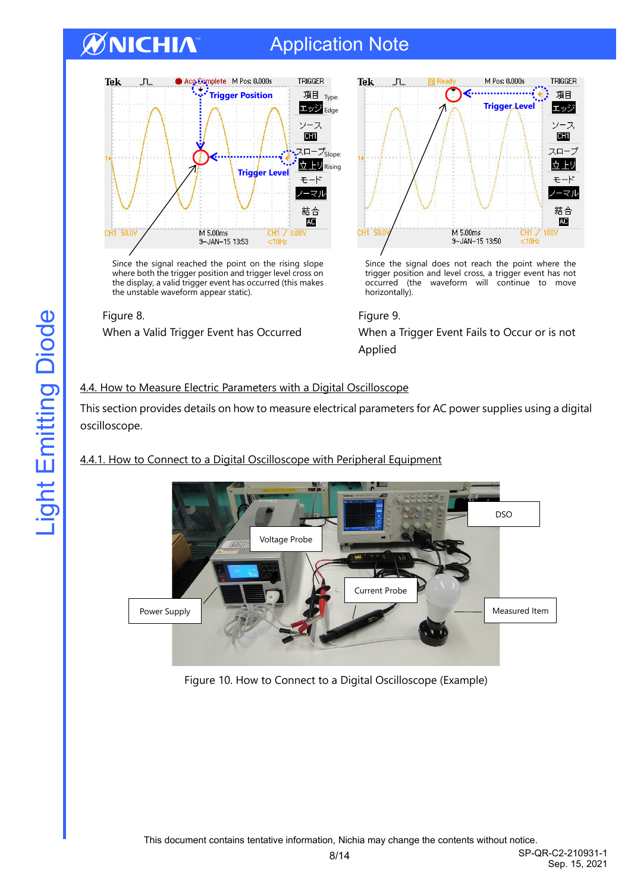# Application Note



Since the signal reached the point on the rising slope where both the trigger position and trigger level cross on the display, a valid trigger event has occurred (this makes the unstable waveform appear static).





Since the signal does not reach the point where the trigger position and level cross, a trigger event has not occurred (the waveform will continue to move horizontally).

When a Valid Trigger Event has Occurred When a Trigger Event Fails to Occur or is not Applied

### 4.4. How to Measure Electric Parameters with a Digital Oscilloscope

This section provides details on how to measure electrical parameters for AC power supplies using a digital oscilloscope.

### 4.4.1. How to Connect to a Digital Oscilloscope with Peripheral Equipment



Figure 10. How to Connect to a Digital Oscilloscope (Example)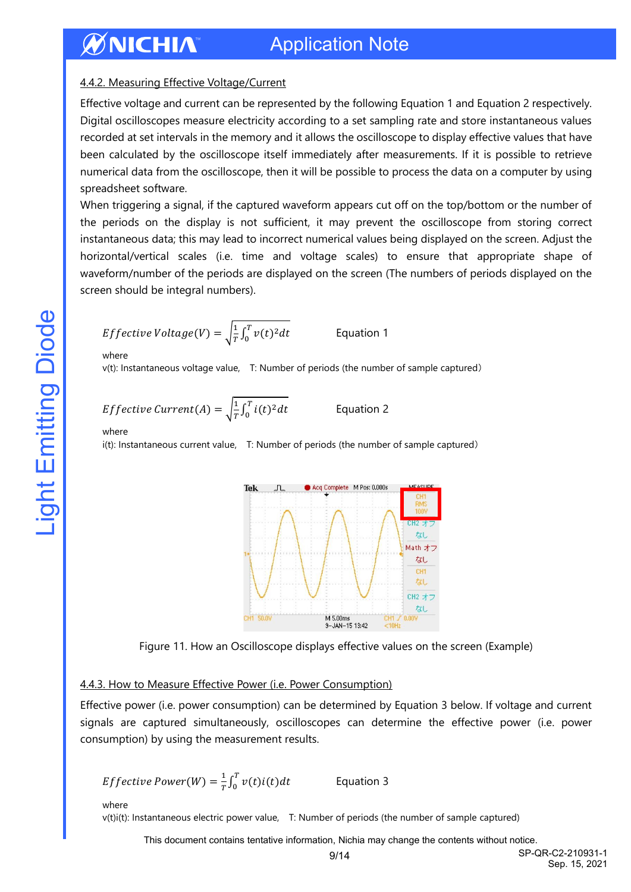### 4.4.2. Measuring Effective Voltage/Current

Effective voltage and current can be represented by the following Equation 1 and Equation 2 respectively. Digital oscilloscopes measure electricity according to a set sampling rate and store instantaneous values recorded at set intervals in the memory and it allows the oscilloscope to display effective values that have been calculated by the oscilloscope itself immediately after measurements. If it is possible to retrieve numerical data from the oscilloscope, then it will be possible to process the data on a computer by using spreadsheet software.

When triggering a signal, if the captured waveform appears cut off on the top/bottom or the number of the periods on the display is not sufficient, it may prevent the oscilloscope from storing correct instantaneous data; this may lead to incorrect numerical values being displayed on the screen. Adjust the horizontal/vertical scales (i.e. time and voltage scales) to ensure that appropriate shape of waveform/number of the periods are displayed on the screen (The numbers of periods displayed on the screen should be integral numbers).

*Effective Voltage(V)* = 
$$
\sqrt{\frac{1}{T} \int_0^T v(t)^2 dt}
$$
 Equation 1

where

v(t): Instantaneous voltage value, T: Number of periods (the number of sample captured)

*Effective Current(A)* = 
$$
\sqrt{\frac{1}{T} \int_0^T i(t)^2 dt}
$$

Equation 2

where

i(t): Instantaneous current value, T: Number of periods (the number of sample captured)



Figure 11. How an Oscilloscope displays effective values on the screen (Example)

### 4.4.3. How to Measure Effective Power (i.e. Power Consumption)

Effective power (i.e. power consumption) can be determined by Equation 3 below. If voltage and current signals are captured simultaneously, oscilloscopes can determine the effective power (i.e. power consumption) by using the measurement results.

*Effective Power*(*W*) = 
$$
\frac{1}{T} \int_0^T v(t)i(t)dt
$$
 Equation 3

where

v(t)i(t): Instantaneous electric power value, T: Number of periods (the number of sample captured)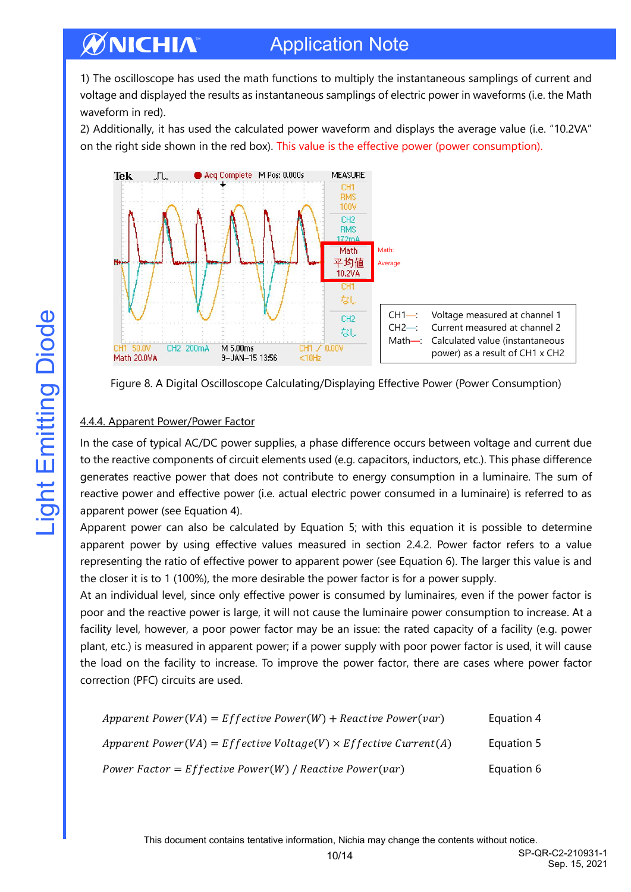1) The oscilloscope has used the math functions to multiply the instantaneous samplings of current and voltage and displayed the results as instantaneous samplings of electric power in waveforms (i.e. the Math waveform in red).

2) Additionally, it has used the calculated power waveform and displays the average value (i.e. "10.2VA" on the right side shown in the red box). This value is the effective power (power consumption).



Figure 8. A Digital Oscilloscope Calculating/Displaying Effective Power (Power Consumption)

### 4.4.4. Apparent Power/Power Factor

In the case of typical AC/DC power supplies, a phase difference occurs between voltage and current due to the reactive components of circuit elements used (e.g. capacitors, inductors, etc.). This phase difference generates reactive power that does not contribute to energy consumption in a luminaire. The sum of reactive power and effective power (i.e. actual electric power consumed in a luminaire) is referred to as apparent power (see Equation 4).

Apparent power can also be calculated by Equation 5; with this equation it is possible to determine apparent power by using effective values measured in section 2.4.2. Power factor refers to a value representing the ratio of effective power to apparent power (see Equation 6). The larger this value is and the closer it is to 1 (100%), the more desirable the power factor is for a power supply.

At an individual level, since only effective power is consumed by luminaires, even if the power factor is poor and the reactive power is large, it will not cause the luminaire power consumption to increase. At a facility level, however, a poor power factor may be an issue: the rated capacity of a facility (e.g. power plant, etc.) is measured in apparent power; if a power supply with poor power factor is used, it will cause the load on the facility to increase. To improve the power factor, there are cases where power factor correction (PFC) circuits are used.

| Apparent Power(VA) = Effective Power(W) + Reactive Power(var)           | Equation 4 |
|-------------------------------------------------------------------------|------------|
| Apparent Power(VA) = Effective Voltage(V) $\times$ Effective Current(A) | Equation 5 |
| Power Factor = $Effective Power(W)$ / Reactive Power(var)               | Equation 6 |

10/14 SP-QR-C2-210931-1 Sep. 15, 2021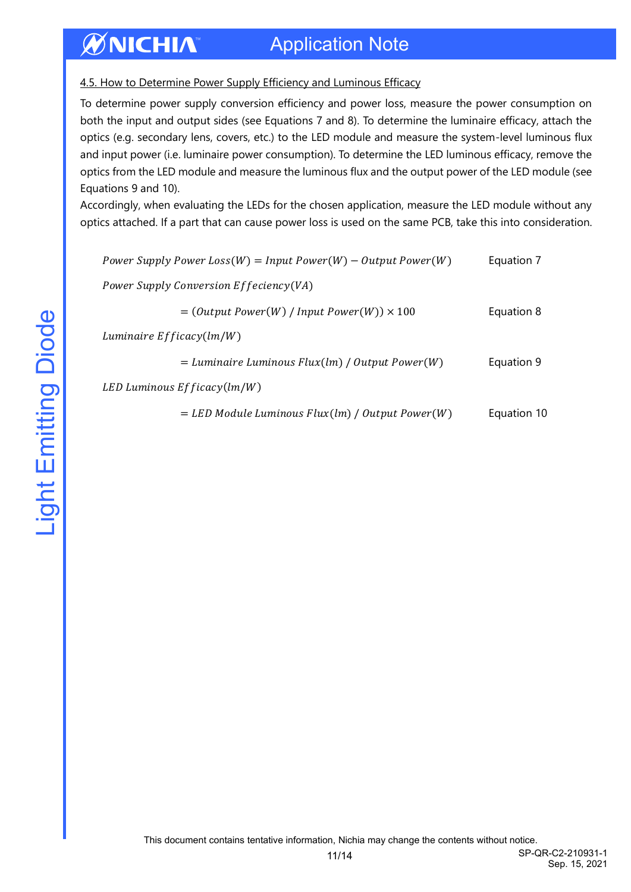### 4.5. How to Determine Power Supply Efficiency and Luminous Efficacy

To determine power supply conversion efficiency and power loss, measure the power consumption on both the input and output sides (see Equations 7 and 8). To determine the luminaire efficacy, attach the optics (e.g. secondary lens, covers, etc.) to the LED module and measure the system-level luminous flux and input power (i.e. luminaire power consumption). To determine the LED luminous efficacy, remove the optics from the LED module and measure the luminous flux and the output power of the LED module (see Equations 9 and 10).

Accordingly, when evaluating the LEDs for the chosen application, measure the LED module without any optics attached. If a part that can cause power loss is used on the same PCB, take this into consideration.

| Power Supply Power Loss(W) = Input Power(W) – Output Power(W) | Equation 7  |
|---------------------------------------------------------------|-------------|
| Power Supply Conversion Effeciency(VA)                        |             |
| $=$ (Output Power(W) / Input Power(W)) $\times$ 100           | Equation 8  |
| Luminaire $Efficacy(lm/W)$                                    |             |
| $=$ Luminaire Luminous Flux(lm) / Output Power(W)             | Equation 9  |
| LED Luminous $Efficacy(lm/W)$                                 |             |
| $=$ LED Module Luminous Flux(lm) / Output Power(W)            | Equation 10 |

11/14 SP-QR-C2-210931-1 Sep. 15, 2021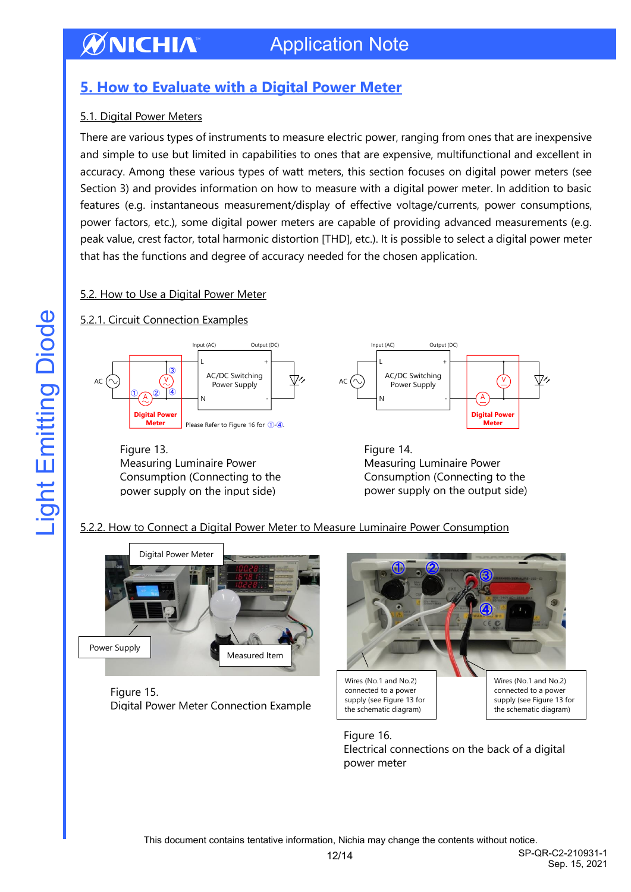## <span id="page-11-0"></span>**5. How to Evaluate with a Digital Power Meter**

### 5.1. Digital Power Meters

There are various types of instruments to measure electric power, ranging from ones that are inexpensive and simple to use but limited in capabilities to ones that are expensive, multifunctional and excellent in accuracy. Among these various types of watt meters, this section focuses on digital power meters (see Section 3) and provides information on how to measure with a digital power meter. In addition to basic features (e.g. instantaneous measurement/display of effective voltage/currents, power consumptions, power factors, etc.), some digital power meters are capable of providing advanced measurements (e.g. peak value, crest factor, total harmonic distortion [THD], etc.). It is possible to select a digital power meter that has the functions and degree of accuracy needed for the chosen application.

### 5.2. How to Use a Digital Power Meter

### 5.2.1. Circuit Connection Examples



Figure 13. Measuring Luminaire Power Consumption (Connecting to the power supply on the input side)

Figure 14. Measuring Luminaire Power Consumption (Connecting to the power supply on the output side)

### 5.2.2. How to Connect a Digital Power Meter to Measure Luminaire Power Consumption



Figure 15. Digital Power Meter Connection Example



Figure 16. Electrical connections on the back of a digital power meter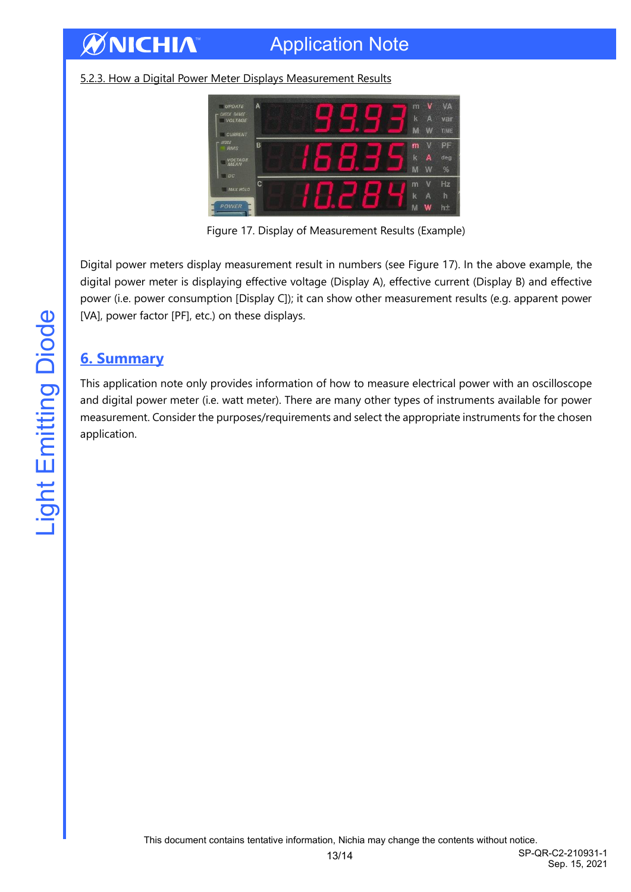# Application Note

### 5.2.3. How a Digital Power Meter Displays Measurement Results



Figure 17. Display of Measurement Results (Example)

Digital power meters display measurement result in numbers (see Figure 17). In the above example, the digital power meter is displaying effective voltage (Display A), effective current (Display B) and effective power (i.e. power consumption [Display C]); it can show other measurement results (e.g. apparent power [VA], power factor [PF], etc.) on these displays.

### <span id="page-12-0"></span>**6. Summary**

**ØNICHIA** 

This application note only provides information of how to measure electrical power with an oscilloscope and digital power meter (i.e. watt meter). There are many other types of instruments available for power measurement. Consider the purposes/requirements and select the appropriate instruments for the chosen application.